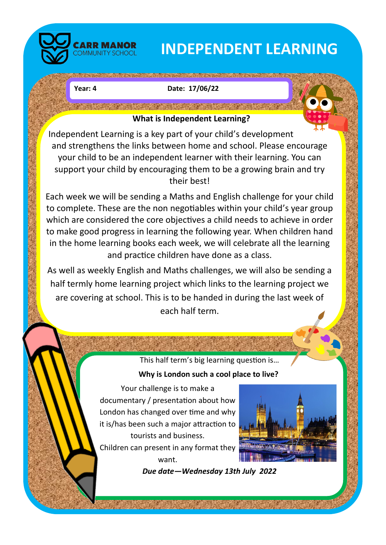

# **INDEPENDENT LEARNING**

ANSKAR BERKANANSK **BANKAMISKERIN BERBANKAM** 

### **Year: 4 Date: 17/06/22**

### **What is Independent Learning?**

a mata kacamatan ing Kabupatèn Kabupatèn K

Independent Learning is a key part of your child's development and strengthens the links between home and school. Please encourage your child to be an independent learner with their learning. You can support your child by encouraging them to be a growing brain and try their best!

Each week we will be sending a Maths and English challenge for your child to complete. These are the non negotiables within your child's year group which are considered the core objectives a child needs to achieve in order to make good progress in learning the following year. When children hand in the home learning books each week, we will celebrate all the learning and practice children have done as a class.

As well as weekly English and Maths challenges, we will also be sending a half termly home learning project which links to the learning project we are covering at school. This is to be handed in during the last week of each half term.

### This half term's big learning question is… **Why is London such a cool place to live?**

Your challenge is to make a documentary / presentation about how London has changed over time and why it is/has been such a major attraction to tourists and business.

Children can present in any format they want.



*Due date—Wednesday 13th July 2022*